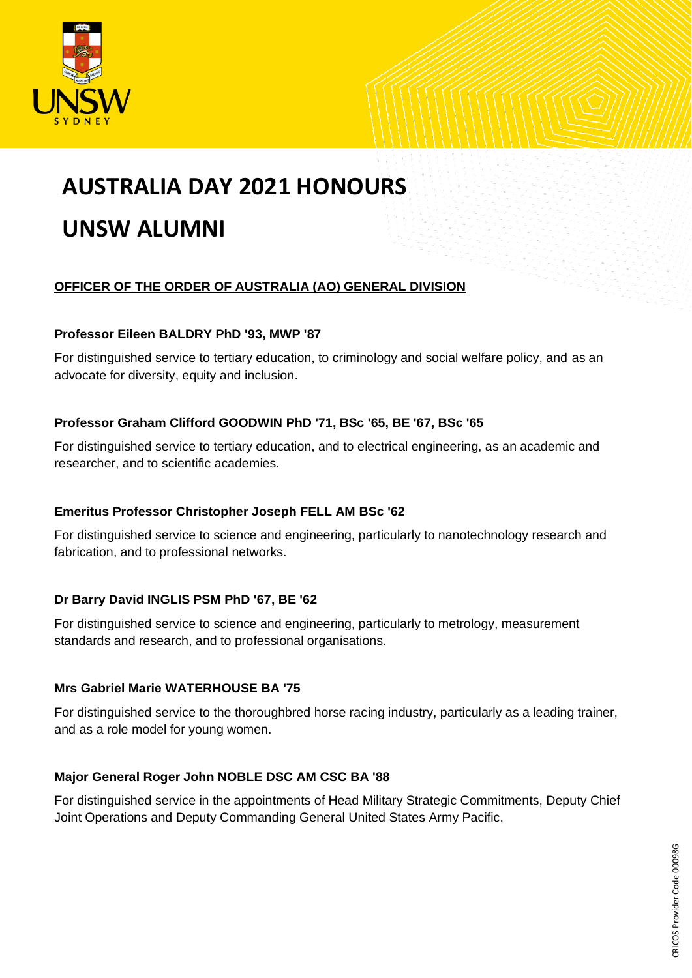

# **AUSTRALIA DAY 2021 HONOURS**

# **UNSW ALUMNI**

# **OFFICER OF THE ORDER OF AUSTRALIA (AO) GENERAL DIVISION**

#### **Professor Eileen BALDRY PhD '93, MWP '87**

For distinguished service to tertiary education, to criminology and social welfare policy, and as an advocate for diversity, equity and inclusion.

# **Professor Graham Clifford GOODWIN PhD '71, BSc '65, BE '67, BSc '65**

For distinguished service to tertiary education, and to electrical engineering, as an academic and researcher, and to scientific academies.

#### **Emeritus Professor Christopher Joseph FELL AM BSc '62**

For distinguished service to science and engineering, particularly to nanotechnology research and fabrication, and to professional networks.

# **Dr Barry David INGLIS PSM PhD '67, BE '62**

For distinguished service to science and engineering, particularly to metrology, measurement standards and research, and to professional organisations.

# **Mrs Gabriel Marie WATERHOUSE BA '75**

For distinguished service to the thoroughbred horse racing industry, particularly as a leading trainer, and as a role model for young women.

#### **Major General Roger John NOBLE DSC AM CSC BA '88**

For distinguished service in the appointments of Head Military Strategic Commitments, Deputy Chief Joint Operations and Deputy Commanding General United States Army Pacific.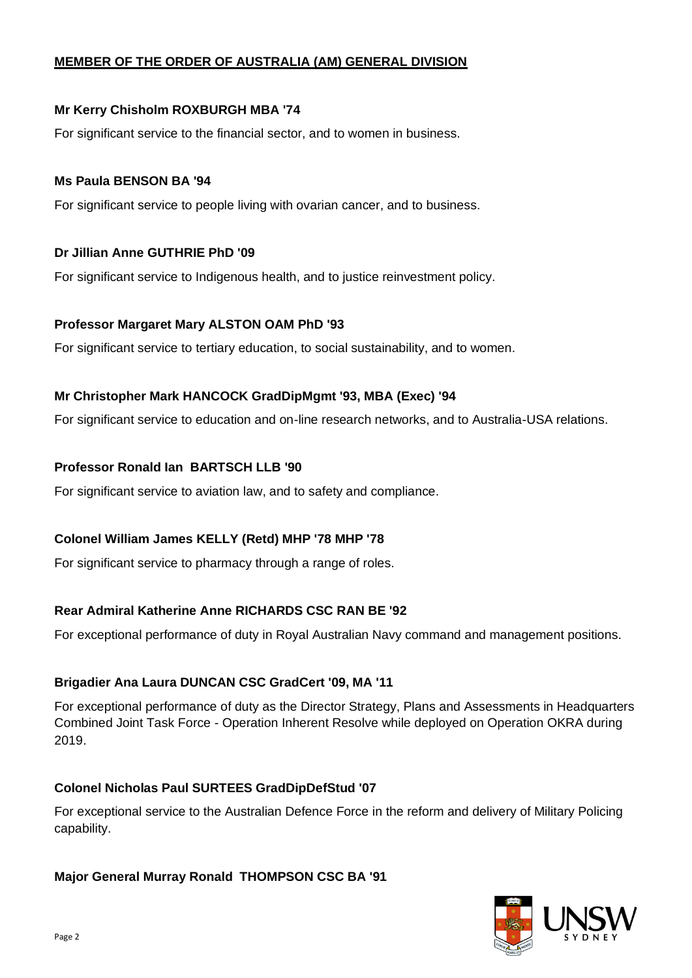#### **MEMBER OF THE ORDER OF AUSTRALIA (AM) GENERAL DIVISION**

#### **Mr Kerry Chisholm ROXBURGH MBA '74**

For significant service to the financial sector, and to women in business.

#### **Ms Paula BENSON BA '94**

For significant service to people living with ovarian cancer, and to business.

#### **Dr Jillian Anne GUTHRIE PhD '09**

For significant service to Indigenous health, and to justice reinvestment policy.

#### **Professor Margaret Mary ALSTON OAM PhD '93**

For significant service to tertiary education, to social sustainability, and to women.

#### **Mr Christopher Mark HANCOCK GradDipMgmt '93, MBA (Exec) '94**

For significant service to education and on-line research networks, and to Australia-USA relations.

#### **Professor Ronald Ian BARTSCH LLB '90**

For significant service to aviation law, and to safety and compliance.

#### **Colonel William James KELLY (Retd) MHP '78 MHP '78**

For significant service to pharmacy through a range of roles.

#### **Rear Admiral Katherine Anne RICHARDS CSC RAN BE '92**

For exceptional performance of duty in Royal Australian Navy command and management positions.

#### **Brigadier Ana Laura DUNCAN CSC GradCert '09, MA '11**

For exceptional performance of duty as the Director Strategy, Plans and Assessments in Headquarters Combined Joint Task Force - Operation Inherent Resolve while deployed on Operation OKRA during 2019.

#### **Colonel Nicholas Paul SURTEES GradDipDefStud '07**

For exceptional service to the Australian Defence Force in the reform and delivery of Military Policing capability.

#### **Major General Murray Ronald THOMPSON CSC BA '91**

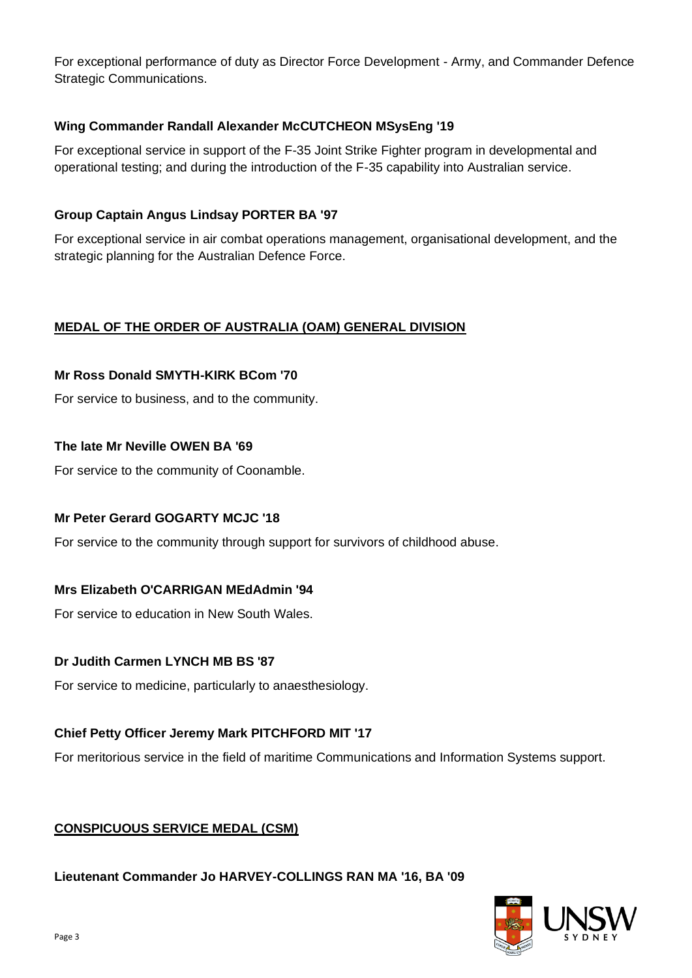For exceptional performance of duty as Director Force Development - Army, and Commander Defence Strategic Communications.

# **Wing Commander Randall Alexander McCUTCHEON MSysEng '19**

For exceptional service in support of the F-35 Joint Strike Fighter program in developmental and operational testing; and during the introduction of the F-35 capability into Australian service.

#### **Group Captain Angus Lindsay PORTER BA '97**

For exceptional service in air combat operations management, organisational development, and the strategic planning for the Australian Defence Force.

# **MEDAL OF THE ORDER OF AUSTRALIA (OAM) GENERAL DIVISION**

#### **Mr Ross Donald SMYTH-KIRK BCom '70**

For service to business, and to the community.

#### **The late Mr Neville OWEN BA '69**

For service to the community of Coonamble.

#### **Mr Peter Gerard GOGARTY MCJC '18**

For service to the community through support for survivors of childhood abuse.

#### **Mrs Elizabeth O'CARRIGAN MEdAdmin '94**

For service to education in New South Wales.

#### **Dr Judith Carmen LYNCH MB BS '87**

For service to medicine, particularly to anaesthesiology.

#### **Chief Petty Officer Jeremy Mark PITCHFORD MIT '17**

For meritorious service in the field of maritime Communications and Information Systems support.

#### **CONSPICUOUS SERVICE MEDAL (CSM)**

**Lieutenant Commander Jo HARVEY-COLLINGS RAN MA '16, BA '09**

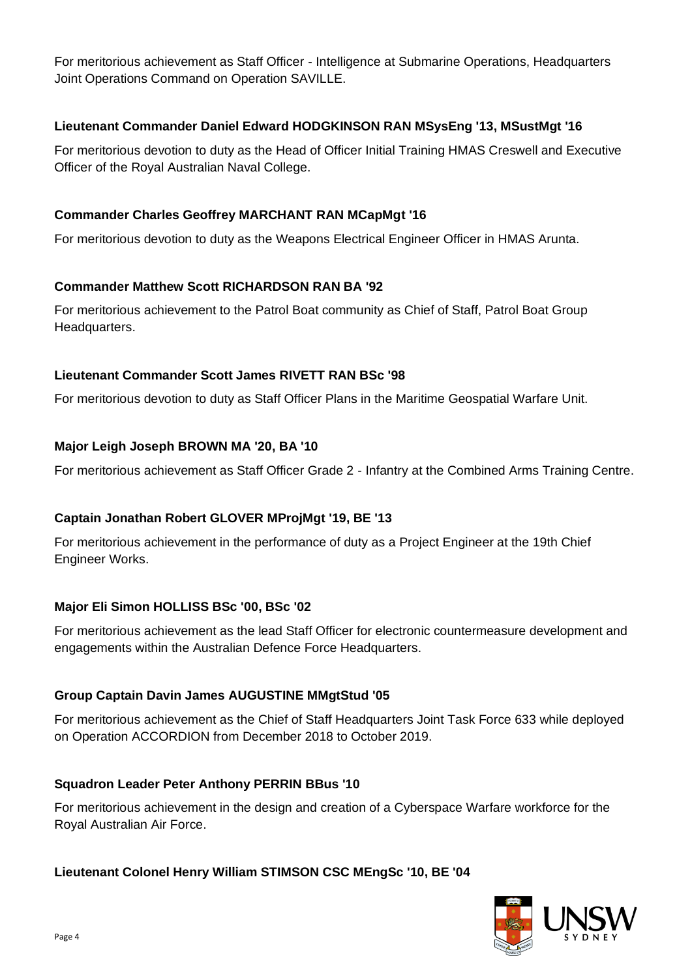For meritorious achievement as Staff Officer - Intelligence at Submarine Operations, Headquarters Joint Operations Command on Operation SAVILLE.

#### **Lieutenant Commander Daniel Edward HODGKINSON RAN MSysEng '13, MSustMgt '16**

For meritorious devotion to duty as the Head of Officer Initial Training HMAS Creswell and Executive Officer of the Royal Australian Naval College.

#### **Commander Charles Geoffrey MARCHANT RAN MCapMgt '16**

For meritorious devotion to duty as the Weapons Electrical Engineer Officer in HMAS Arunta.

#### **Commander Matthew Scott RICHARDSON RAN BA '92**

For meritorious achievement to the Patrol Boat community as Chief of Staff, Patrol Boat Group Headquarters.

#### **Lieutenant Commander Scott James RIVETT RAN BSc '98**

For meritorious devotion to duty as Staff Officer Plans in the Maritime Geospatial Warfare Unit.

# **Major Leigh Joseph BROWN MA '20, BA '10**

For meritorious achievement as Staff Officer Grade 2 - Infantry at the Combined Arms Training Centre.

#### **Captain Jonathan Robert GLOVER MProjMgt '19, BE '13**

For meritorious achievement in the performance of duty as a Project Engineer at the 19th Chief Engineer Works.

#### **Major Eli Simon HOLLISS BSc '00, BSc '02**

For meritorious achievement as the lead Staff Officer for electronic countermeasure development and engagements within the Australian Defence Force Headquarters.

#### **Group Captain Davin James AUGUSTINE MMgtStud '05**

For meritorious achievement as the Chief of Staff Headquarters Joint Task Force 633 while deployed on Operation ACCORDION from December 2018 to October 2019.

#### **Squadron Leader Peter Anthony PERRIN BBus '10**

For meritorious achievement in the design and creation of a Cyberspace Warfare workforce for the Royal Australian Air Force.

# **Lieutenant Colonel Henry William STIMSON CSC MEngSc '10, BE '04**

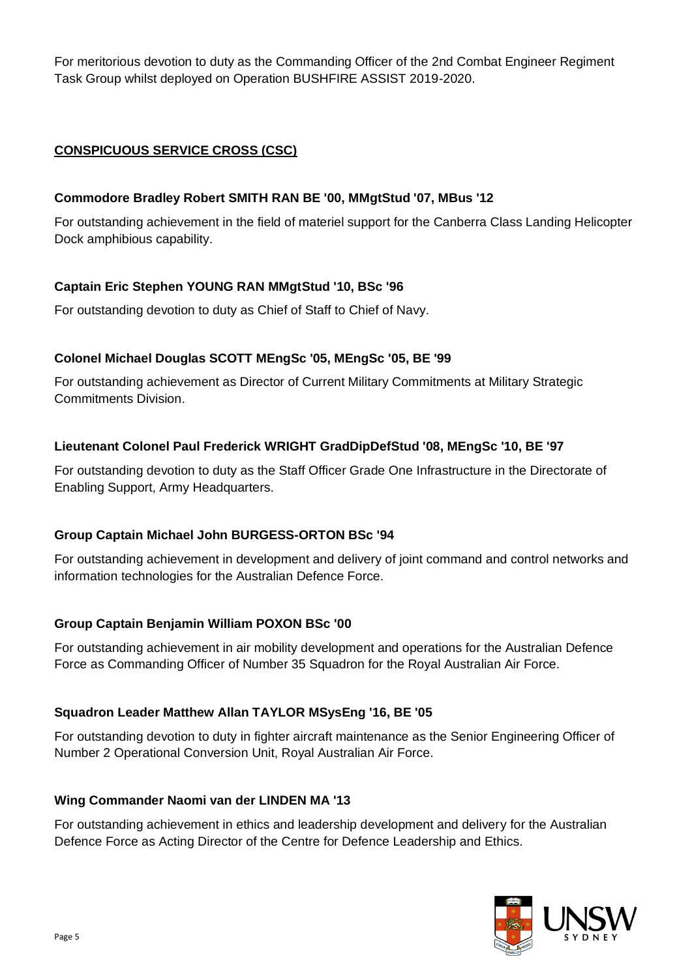For meritorious devotion to duty as the Commanding Officer of the 2nd Combat Engineer Regiment Task Group whilst deployed on Operation BUSHFIRE ASSIST 2019-2020.

# **CONSPICUOUS SERVICE CROSS (CSC)**

#### **Commodore Bradley Robert SMITH RAN BE '00, MMgtStud '07, MBus '12**

For outstanding achievement in the field of materiel support for the Canberra Class Landing Helicopter Dock amphibious capability.

# **Captain Eric Stephen YOUNG RAN MMgtStud '10, BSc '96**

For outstanding devotion to duty as Chief of Staff to Chief of Navy.

# **Colonel Michael Douglas SCOTT MEngSc '05, MEngSc '05, BE '99**

For outstanding achievement as Director of Current Military Commitments at Military Strategic Commitments Division.

# **Lieutenant Colonel Paul Frederick WRIGHT GradDipDefStud '08, MEngSc '10, BE '97**

For outstanding devotion to duty as the Staff Officer Grade One Infrastructure in the Directorate of Enabling Support, Army Headquarters.

#### **Group Captain Michael John BURGESS-ORTON BSc '94**

For outstanding achievement in development and delivery of joint command and control networks and information technologies for the Australian Defence Force.

#### **Group Captain Benjamin William POXON BSc '00**

For outstanding achievement in air mobility development and operations for the Australian Defence Force as Commanding Officer of Number 35 Squadron for the Royal Australian Air Force.

#### **Squadron Leader Matthew Allan TAYLOR MSysEng '16, BE '05**

For outstanding devotion to duty in fighter aircraft maintenance as the Senior Engineering Officer of Number 2 Operational Conversion Unit, Royal Australian Air Force.

#### **Wing Commander Naomi van der LINDEN MA '13**

For outstanding achievement in ethics and leadership development and delivery for the Australian Defence Force as Acting Director of the Centre for Defence Leadership and Ethics.